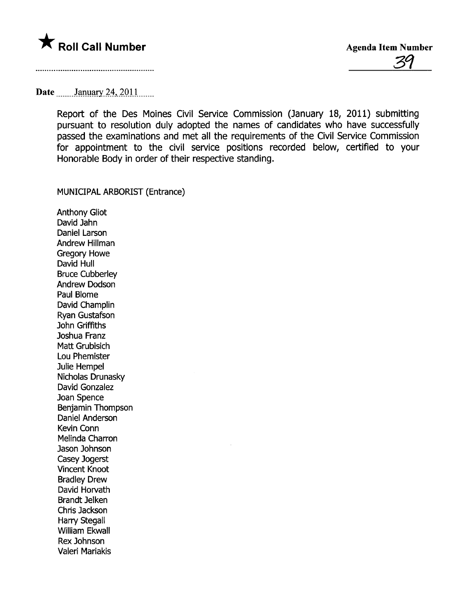

## Date \_\_\_\_\_\_ January 24, 2011 \_\_\_\_\_

Report of the Des Moines Civil Service Commission (January 18, 2011) submitting pursuant to resolution duly adopted the names of candidates who have successfully passed the examinations and met all the requirements of the Civil Service Commission for appointment to the civil service positions recorded below, certified to your Honorable Body in order of their respective standing.

MUNICIPAL ARBORIST (Entrance)

Anthony Gliot David Jahn Daniel Larson Andrew Hilman Gregory Howe David Hull Bruce Cubberley Andrew Dodson Paul Blome David Champlin Ryan Gustafson John Griffiths Joshua Franz Matt Grubisich Lou Phemister Julie Hempel Nicholas Drunasky David Gonzalez Joan Spence Benjamin Thompson Daniel Anderson Kevin Conn Melinda Charron Jason Johnson Casey Jogerst Vincent Knoot Bradley Drew David Horvath Brandt Jelken Chris Jackson Harry Stegall Willam Ekwall Rex Johnson Valeri Mariakis